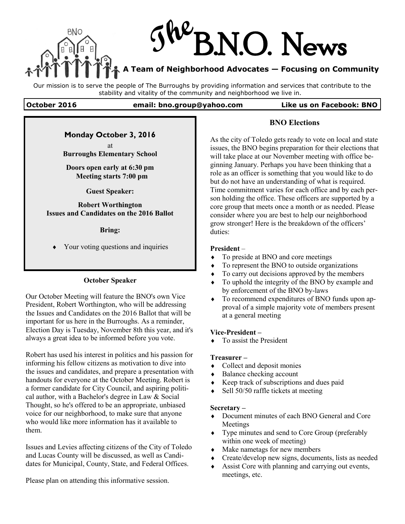

Our mission is to serve the people of The Burroughs by providing information and services that contribute to the stability and vitality of the community and neighborhood we live in.

#### **October 2016 email: bno.group@yahoo.com Like us on Facebook: BNO**

## **Monday October 3, 2016**

at **Burroughs Elementary School** 

**Doors open early at 6:30 pm Meeting starts 7:00 pm**

**Guest Speaker:**

**Robert Worthington Issues and Candidates on the 2016 Ballot** 

**Bring:**

Your voting questions and inquiries

## **October Speaker**

Our October Meeting will feature the BNO's own Vice President, Robert Worthington, who will be addressing the Issues and Candidates on the 2016 Ballot that will be important for us here in the Burroughs. As a reminder, Election Day is Tuesday, November 8th this year, and it's always a great idea to be informed before you vote.

Robert has used his interest in politics and his passion for informing his fellow citizens as motivation to dive into the issues and candidates, and prepare a presentation with handouts for everyone at the October Meeting. Robert is a former candidate for City Council, and aspiring political author, with a Bachelor's degree in Law & Social Thought, so he's offered to be an appropriate, unbiased voice for our neighborhood, to make sure that anyone who would like more information has it available to them.

Issues and Levies affecting citizens of the City of Toledo and Lucas County will be discussed, as well as Candidates for Municipal, County, State, and Federal Offices.

Please plan on attending this informative session.

**BNO Elections**

As the city of Toledo gets ready to vote on local and state issues, the BNO begins preparation for their elections that will take place at our November meeting with office beginning January. Perhaps you have been thinking that a role as an officer is something that you would like to do but do not have an understanding of what is required. Time commitment varies for each office and by each person holding the office. These officers are supported by a core group that meets once a month or as needed. Please consider where you are best to help our neighborhood grow stronger! Here is the breakdown of the officers' duties:

### **President** –

- To preside at BNO and core meetings
- To represent the BNO to outside organizations
- $\triangle$  To carry out decisions approved by the members
- To uphold the integrity of the BNO by example and by enforcement of the BNO by-laws
- To recommend expenditures of BNO funds upon approval of a simple majority vote of members present at a general meeting

### **Vice-President –**

 $\bullet$  To assist the President

### **Treasurer –**

- Collect and deposit monies
- Balance checking account
- Keep track of subscriptions and dues paid
- Sell 50/50 raffle tickets at meeting

### **Secretary –**

- Document minutes of each BNO General and Core Meetings
- Type minutes and send to Core Group (preferably within one week of meeting)
- Make nametags for new members
- Create/develop new signs, documents, lists as needed
- Assist Core with planning and carrying out events, meetings, etc.